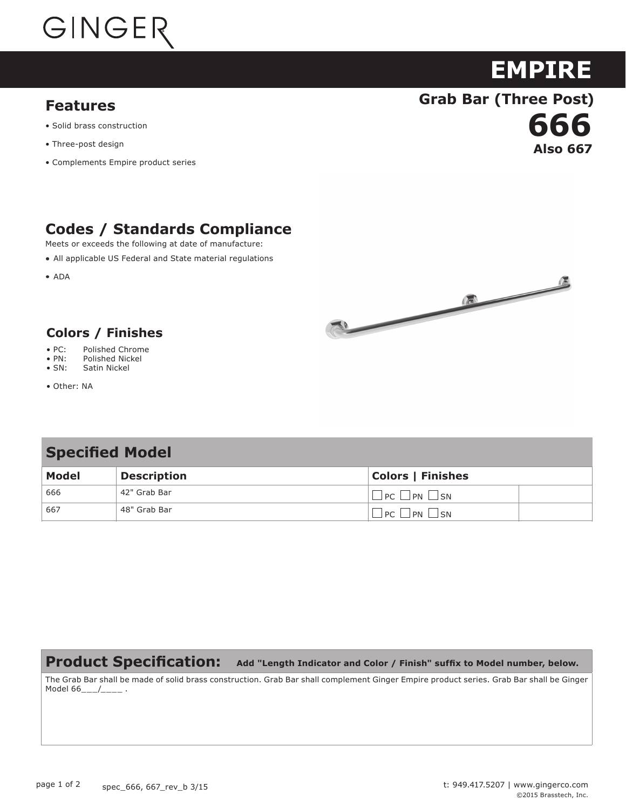

### **Features**

- Solid brass construction
- Three-post design
- Complements Empire product series

## **Codes / Standards Compliance**

Meets or exceeds the following at date of manufacture:

All applicable US Federal and State material regulations

**ADA** 



**Also 667** 

**666**

**EMPIRE**

**Grab Bar (Three Post)**

#### **Colors / Finishes Colors / Finishes**

- $\bullet$  PC: • PC: Polished Chrome
- $\bullet$  PN: • PN: Polished Nickel
- $\bullet$  SN: • SN: Satin Nickel
- Other: NA

### **Specified Model**

| <b>Model</b> | <b>Description</b> | <b>Colors   Finishes</b> |
|--------------|--------------------|--------------------------|
| 666          | 42" Grab Bar       | $PC \Box PN \Box SN$     |
| 667          | 48" Grab Bar       | $P_{\text{C}}$<br>IPN SN |

#### **Product Specification: Add "Length Indicator and Color / Finish" suffix to Model number, below.**

The Grab Bar shall be made of solid brass construction. Grab Bar shall complement Ginger Empire product series. Grab Bar shall be Ginger Model 66\_\_\_/\_\_\_\_\_ .